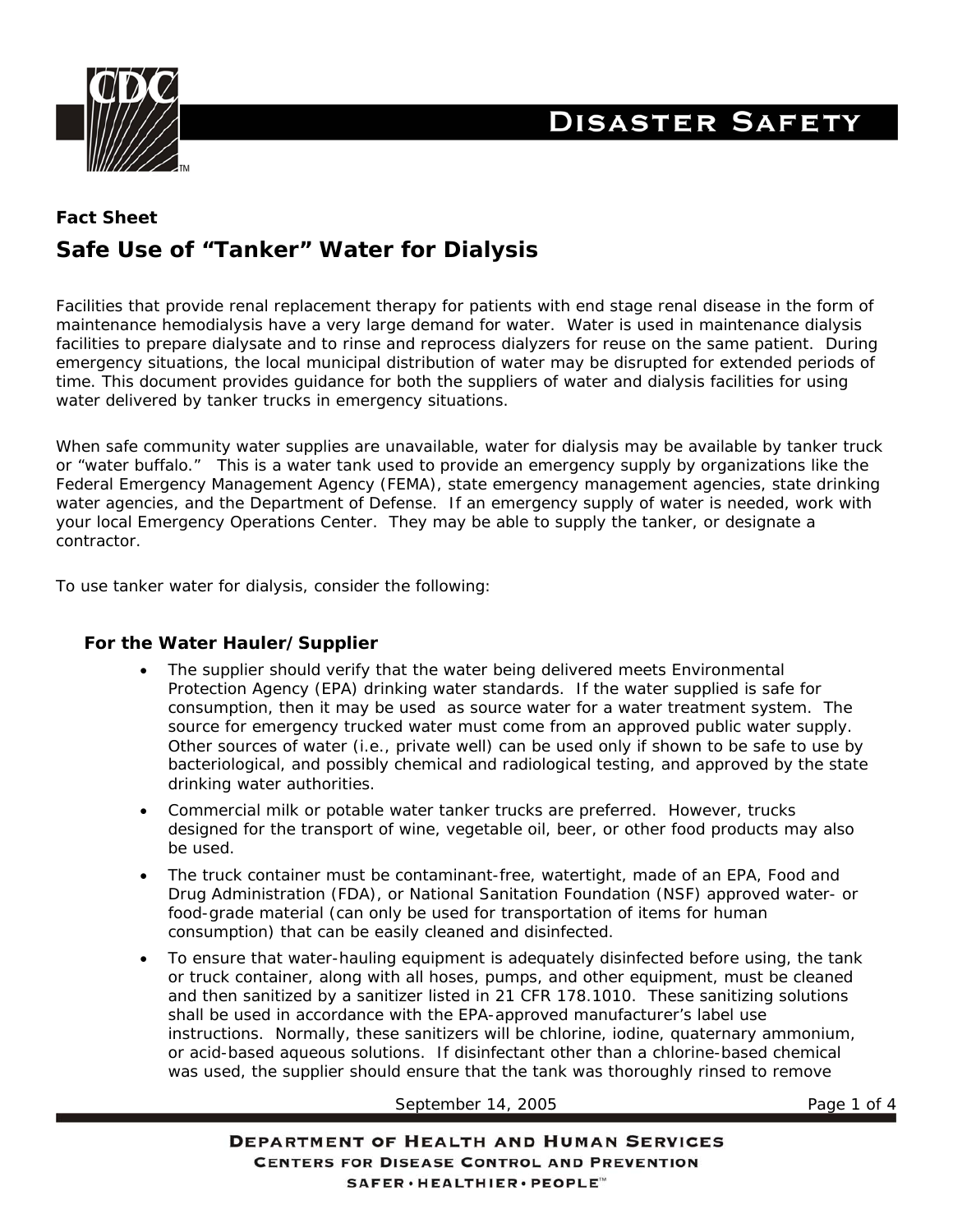

# **DISASTER SAFETY**

## **Fact Sheet Safe Use of "Tanker" Water for Dialysis**

Facilities that provide renal replacement therapy for patients with end stage renal disease in the form of maintenance hemodialysis have a very large demand for water. Water is used in maintenance dialysis facilities to prepare dialysate and to rinse and reprocess dialyzers for reuse on the same patient. During emergency situations, the local municipal distribution of water may be disrupted for extended periods of time. This document provides guidance for both the suppliers of water and dialysis facilities for using water delivered by tanker trucks in emergency situations.

When safe community water supplies are unavailable, water for dialysis may be available by tanker truck or "water buffalo." This is a water tank used to provide an emergency supply by organizations like the Federal Emergency Management Agency (FEMA), state emergency management agencies, state drinking water agencies, and the Department of Defense. If an emergency supply of water is needed, work with your local Emergency Operations Center. They may be able to supply the tanker, or designate a contractor.

To use tanker water for dialysis, consider the following:

## **For the Water Hauler/Supplier**

- The supplier should verify that the water being delivered meets Environmental Protection Agency (EPA) drinking water standards. If the water supplied is safe for consumption, then it may be used as source water for a water treatment system. The source for emergency trucked water must come from an approved public water supply. Other sources of water (i.e., private well) can be used only if shown to be safe to use by bacteriological, and possibly chemical and radiological testing, and approved by the state drinking water authorities.
- Commercial milk or potable water tanker trucks are preferred. However, trucks designed for the transport of wine, vegetable oil, beer, or other food products may also be used.
- The truck container must be contaminant-free, watertight, made of an EPA, Food and Drug Administration (FDA), or National Sanitation Foundation (NSF) approved water- or food-grade material (can only be used for transportation of items for human consumption) that can be easily cleaned and disinfected.
- To ensure that water-hauling equipment is adequately disinfected before using, the tank or truck container, along with all hoses, pumps, and other equipment, must be cleaned and then sanitized by a sanitizer listed in 21 CFR 178.1010. These sanitizing solutions shall be used in accordance with the EPA-approved manufacturer's label use instructions. Normally, these sanitizers will be chlorine, iodine, quaternary ammonium, or acid-based aqueous solutions. If disinfectant other than a chlorine-based chemical was used, the supplier should ensure that the tank was thoroughly rinsed to remove

#### September 14, 2005 Page 1 of 4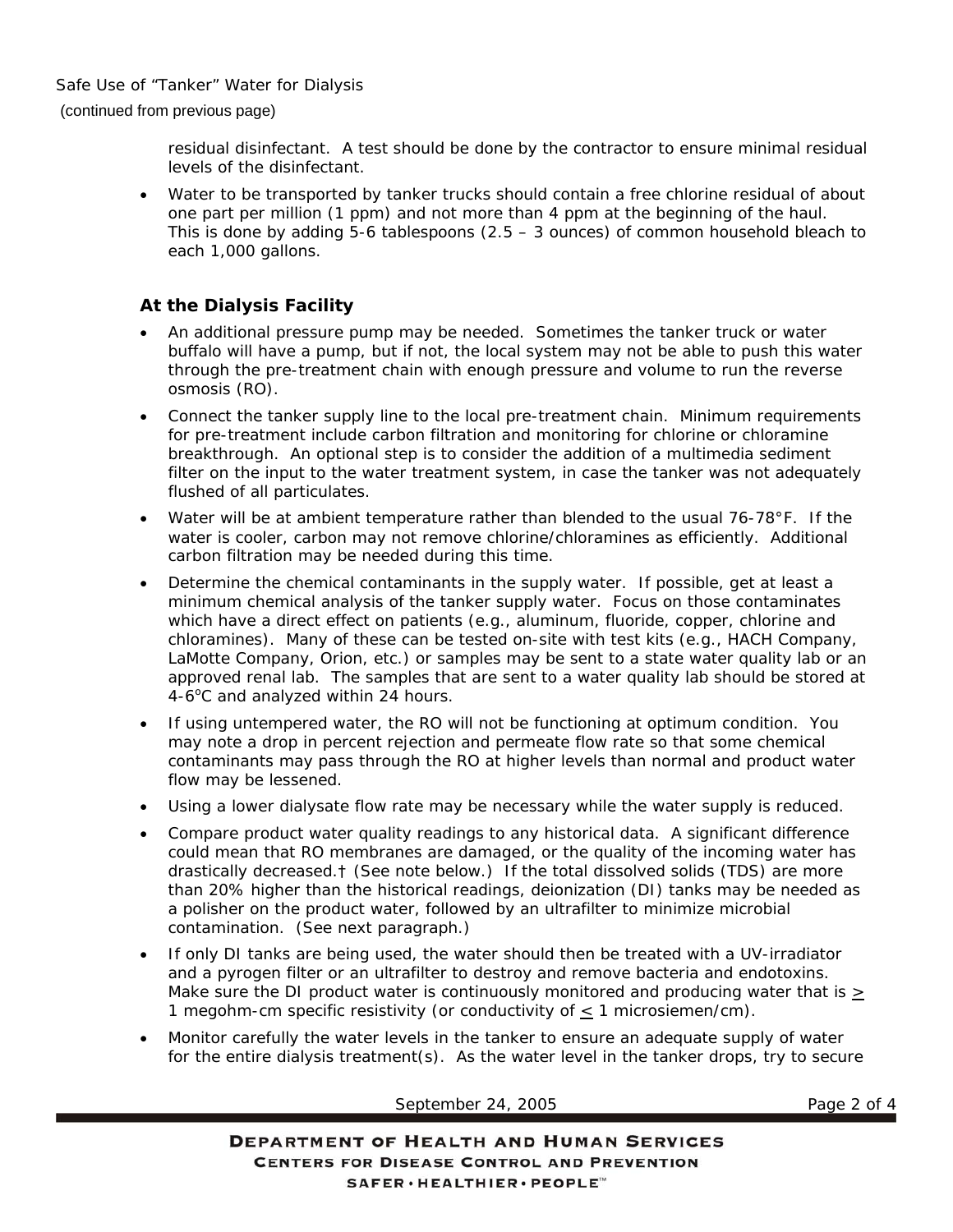residual disinfectant. A test should be done by the contractor to ensure minimal residual levels of the disinfectant.

• Water to be transported by tanker trucks should contain a free chlorine residual of about one part per million (1 ppm) and not more than 4 ppm at the beginning of the haul. This is done by adding  $5-6$  tablespoons  $(2.5 - 3$  ounces) of common household bleach to each 1,000 gallons.

## **At the Dialysis Facility**

- An additional pressure pump may be needed. Sometimes the tanker truck or water buffalo will have a pump, but if not, the local system may not be able to push this water through the pre-treatment chain with enough pressure and volume to run the reverse osmosis (RO).
- Connect the tanker supply line to the local pre-treatment chain. Minimum requirements for pre-treatment include carbon filtration and monitoring for chlorine or chloramine breakthrough. An optional step is to consider the addition of a multimedia sediment filter on the input to the water treatment system, in case the tanker was not adequately flushed of all particulates.
- Water will be at ambient temperature rather than blended to the usual 76-78°F. If the water is cooler, carbon may not remove chlorine/chloramines as efficiently. Additional carbon filtration may be needed during this time.
- Determine the chemical contaminants in the supply water. If possible, get at least a minimum chemical analysis of the tanker supply water. Focus on those contaminates which have a direct effect on patients (e.g., aluminum, fluoride, copper, chlorine and chloramines). Many of these can be tested on-site with test kits (e.g., HACH Company, LaMotte Company, Orion, etc.) or samples may be sent to a state water quality lab or an approved renal lab. The samples that are sent to a water quality lab should be stored at 4-6°C and analyzed within 24 hours.
- If using untempered water, the RO will not be functioning at optimum condition. You may note a drop in percent rejection and permeate flow rate so that some chemical contaminants may pass through the RO at higher levels than normal and product water flow may be lessened.
- Using a lower dialysate flow rate may be necessary while the water supply is reduced.
- Compare product water quality readings to any historical data. A significant difference could mean that RO membranes are damaged, or the quality of the incoming water has drastically decreased.† (See note below.) If the total dissolved solids (TDS) are more than 20% higher than the historical readings, deionization (DI) tanks may be needed as a polisher on the product water, followed by an ultrafilter to minimize microbial contamination. (See next paragraph.)
- If only DI tanks are being used, the water should then be treated with a UV-irradiator and a pyrogen filter or an ultrafilter to destroy and remove bacteria and endotoxins. Make sure the DI product water is continuously monitored and producing water that is  $\geq$ 1 megohm-cm specific resistivity (or conductivity of < 1 microsiemen/cm).
- Monitor carefully the water levels in the tanker to ensure an adequate supply of water for the entire dialysis treatment(s). As the water level in the tanker drops, try to secure

September 24, 2005 Page 2 of 4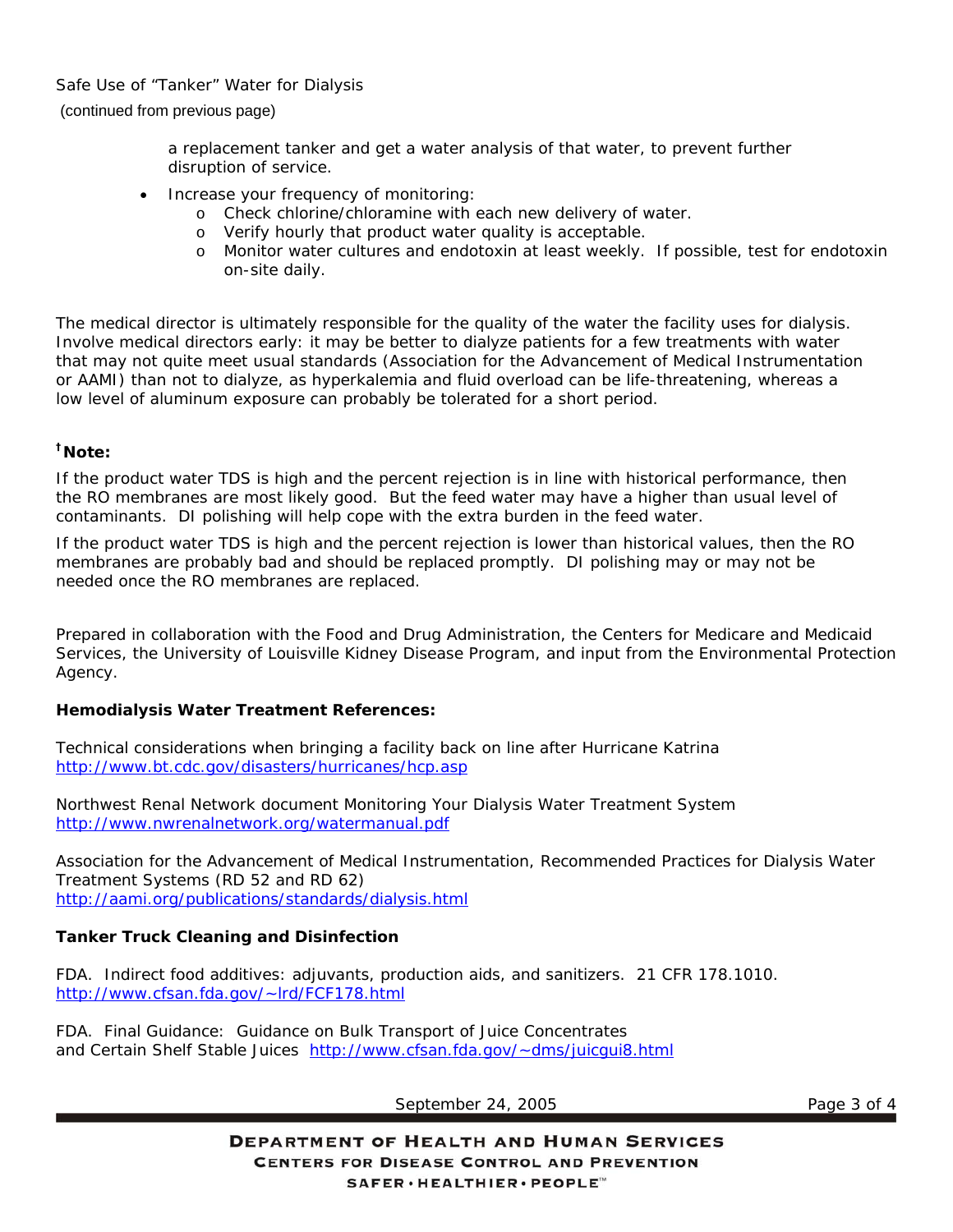Safe Use of "Tanker" Water for Dialysis (continued from previous page)

> a replacement tanker and get a water analysis of that water, to prevent further disruption of service.

- Increase your frequency of monitoring:
	- o Check chlorine/chloramine with each new delivery of water.
	- o Verify hourly that product water quality is acceptable.
	- o Monitor water cultures and endotoxin at least weekly. If possible, test for endotoxin on-site daily.

The medical director is ultimately responsible for the quality of the water the facility uses for dialysis. Involve medical directors early: it may be better to dialyze patients for a few treatments with water that may not quite meet usual standards (Association for the Advancement of Medical Instrumentation or AAMI) than not to dialyze, as hyperkalemia and fluid overload can be life-threatening, whereas a low level of aluminum exposure can probably be tolerated for a short period.

## **†Note:**

If the product water TDS is high and the percent rejection is in line with historical performance, then the RO membranes are most likely good. But the feed water may have a higher than usual level of contaminants. DI polishing will help cope with the extra burden in the feed water.

If the product water TDS is high and the percent rejection is lower than historical values, then the RO membranes are probably bad and should be replaced promptly. DI polishing may or may not be needed once the RO membranes are replaced.

*Prepared in collaboration with the Food and Drug Administration, the Centers for Medicare and Medicaid Services, the University of Louisville Kidney Disease Program, and input from the Environmental Protection Agency.* 

## **Hemodialysis Water Treatment References:**

Technical considerations when bringing a facility back on line after Hurricane Katrina http://www.bt.cdc.gov/disasters/hurricanes/hcp.asp

Northwest Renal Network document *Monitoring Your Dialysis Water Treatment System* http://www.nwrenalnetwork.org/watermanual.pdf

Association for the Advancement of Medical Instrumentation, Recommended Practices for Dialysis Water Treatment Systems (RD 52 and RD 62) http://aami.org/publications/standards/dialysis.html

## **Tanker Truck Cleaning and Disinfection**

FDA. Indirect food additives: adjuvants, production aids, and sanitizers. 21 CFR 178.1010. http://www.cfsan.fda.gov/~lrd/FCF178.html

FDA. Final Guidance: Guidance on Bulk Transport of Juice Concentrates and Certain Shelf Stable Juices http://www.cfsan.fda.gov/~dms/juicgui8.html

September 24, 2005 Page 3 of 4